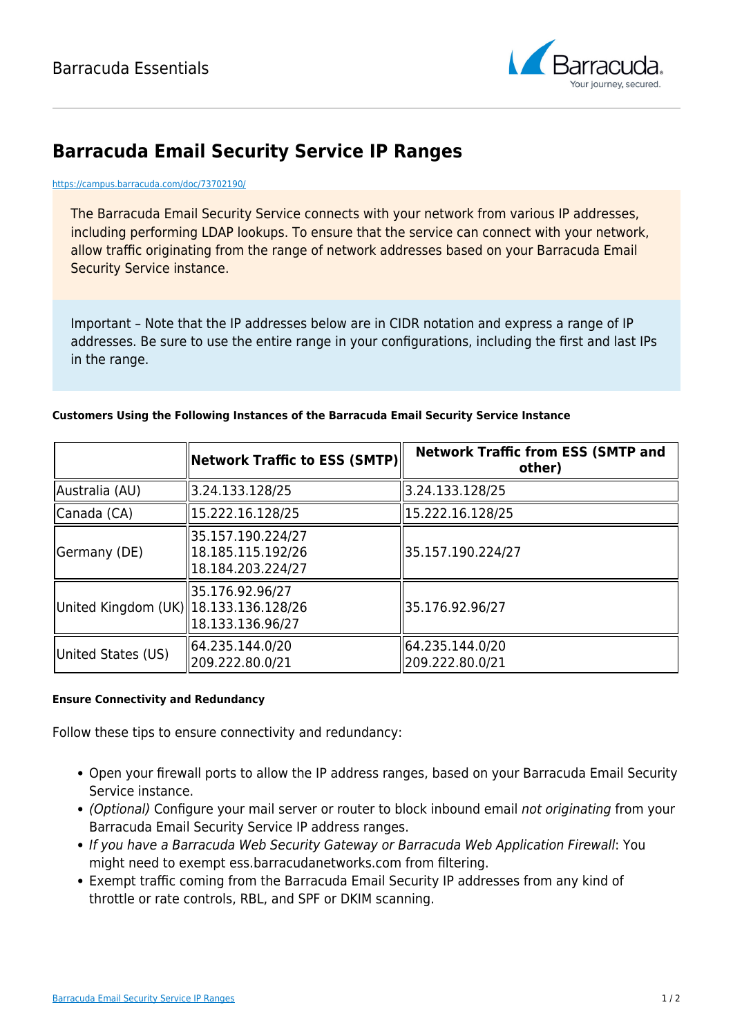

## **Barracuda Email Security Service IP Ranges**

<https://campus.barracuda.com/doc/73702190/>

The Barracuda Email Security Service connects with your network from various IP addresses, including performing LDAP lookups. To ensure that the service can connect with your network, allow traffic originating from the range of network addresses based on your Barracuda Email Security Service instance.

Important – Note that the IP addresses below are in CIDR notation and express a range of IP addresses. Be sure to use the entire range in your configurations, including the first and last IPs in the range.

## **Customers Using the Following Instances of the Barracuda Email Security Service Instance**

|                                        | $\mid$ Network Traffic to ESS (SMTP) $\mid\mid$             | <b>Network Traffic from ESS (SMTP and</b><br>other) |
|----------------------------------------|-------------------------------------------------------------|-----------------------------------------------------|
| Australia (AU)                         | 3.24.133.128/25                                             | 3.24.133.128/25                                     |
| Canada (CA)                            | 15.222.16.128/25                                            | 15.222.16.128/25                                    |
| Germany (DE)                           | 35.157.190.224/27<br>18.185.115.192/26<br>18.184.203.224/27 | 35.157.190.224/27                                   |
| United Kingdom (UK)  18.133.136.128/26 | 35.176.92.96/27<br>18.133.136.96/27                         | 35.176.92.96/27                                     |
| United States (US)                     | 64.235.144.0/20<br>209.222.80.0/21                          | 64.235.144.0/20<br>209.222.80.0/21                  |

## **Ensure Connectivity and Redundancy**

Follow these tips to ensure connectivity and redundancy:

- Open your firewall ports to allow the IP address ranges, based on your Barracuda Email Security Service instance.
- (Optional) Configure your mail server or router to block inbound email not originating from your Barracuda Email Security Service IP address ranges.
- If you have a Barracuda Web Security Gateway or Barracuda Web Application Firewall: You might need to exempt ess.barracudanetworks.com from filtering.
- Exempt traffic coming from the Barracuda Email Security IP addresses from any kind of throttle or rate controls, RBL, and SPF or DKIM scanning.